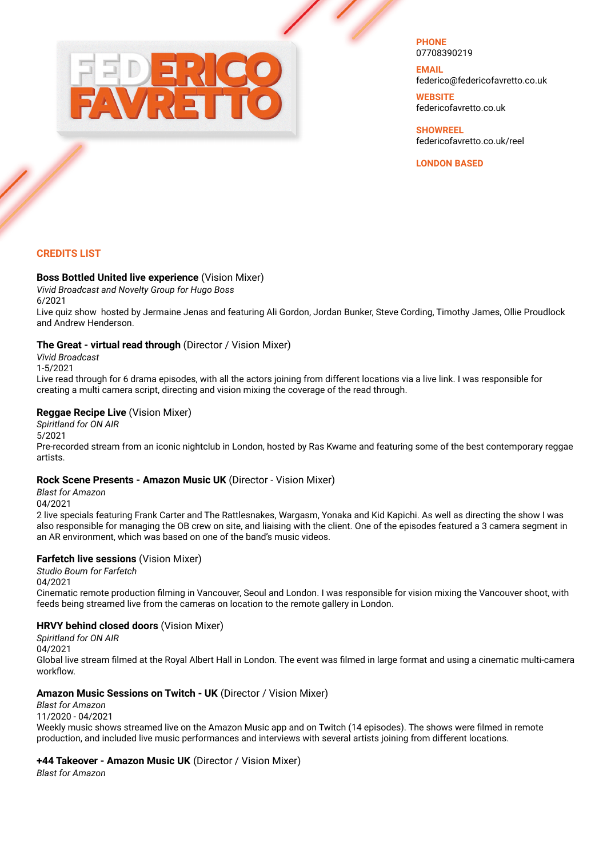

**PHONE** 07708390219

**EMAIL** [federico@federicofavretto.co.uk](mailto:federico@federicofavretto.co.uk)

**WEBSITE** [federicofavretto.co.uk](https://www.federicofavretto.co.uk/)

**SHOWREEL** [federicofavretto.co.uk/reel](http://federicofavretto.co.uk/reel)

**LONDON BASED**

# **CREDITS LIST**

#### **Boss Bottled United live experience** (Vision Mixer)

*Vivid Broadcast and Novelty Group for Hugo Boss* 6/2021

Live quiz show hosted by Jermaine Jenas and featuring Ali Gordon, Jordan Bunker, Steve Cording, Timothy James, Ollie Proudlock and Andrew Henderson.

#### **The Great - virtual read through** (Director / Vision Mixer)

*Vivid Broadcast* 1-5/2021

Live read through for 6 drama episodes, with all the actors joining from different locations via a live link. I was responsible for creating a multi camera script, directing and vision mixing the coverage of the read through.

#### **Reggae Recipe Live** (Vision Mixer)

*Spiritland for ON AIR* 5/2021 Pre-recorded stream from an iconic nightclub in London, hosted by Ras Kwame and featuring some of the best contemporary reggae artists.

#### **Rock Scene Presents - Amazon Music UK** (Director - Vision Mixer)

*Blast for Amazon* 04/2021

2 live specials featuring Frank Carter and The Rattlesnakes, Wargasm, Yonaka and Kid Kapichi. As well as directing the show I was also responsible for managing the OB crew on site, and liaising with the client. One of the episodes featured a 3 camera segment in an AR environment, which was based on one of the band's music videos.

#### **Farfetch live sessions** (Vision Mixer)

*Studio Boum for Farfetch* 04/2021 Cinematic remote production filming in Vancouver, Seoul and London. I was responsible for vision mixing the Vancouver shoot, with feeds being streamed live from the cameras on location to the remote gallery in London.

#### **HRVY behind closed doors** (Vision Mixer)

*Spiritland for ON AIR* 04/2021 Global live stream filmed at the Royal Albert Hall in London. The event was filmed in large format and using a cinematic multi-camera workflow.

# **Amazon Music Sessions on Twitch - UK** (Director / Vision Mixer)

*Blast for Amazon* 11/2020 - 04/2021 Weekly music shows streamed live on the Amazon Music app and on Twitch (14 episodes). The shows were filmed in remote production, and included live music performances and interviews with several artists joining from different locations.

**+44 Takeover - Amazon Music UK** (Director / Vision Mixer)

*Blast for Amazon*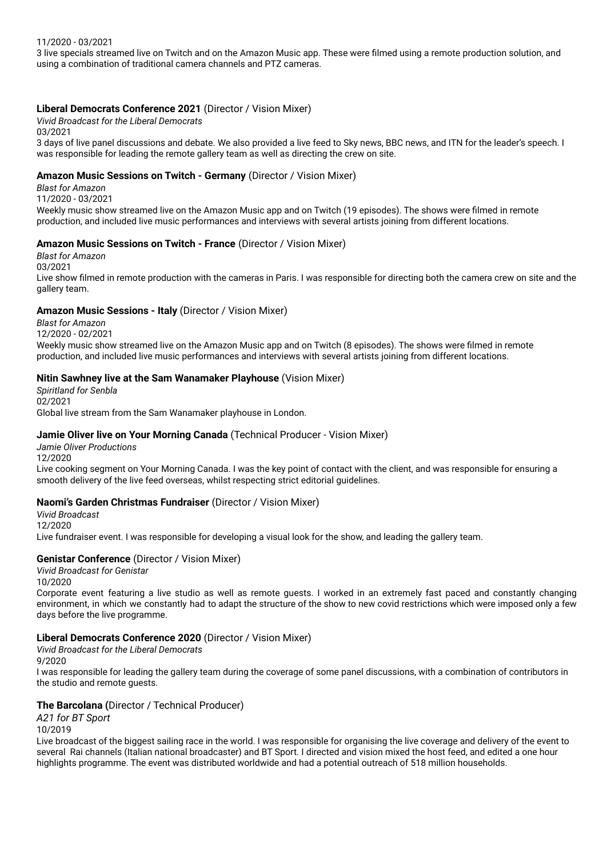3 live specials streamed live on Twitch and on the Amazon Music app. These were filmed using a remote production solution, and using a combination of traditional camera channels and PTZ cameras.

### **Liberal Democrats Conference 2021** (Director / Vision Mixer)

*Vivid Broadcast for the Liberal Democrats* 03/2021 3 days of live panel discussions and debate. We also provided a live feed to Sky news, BBC news, and ITN for the leader's speech. I was responsible for leading the remote gallery team as well as directing the crew on site.

# **Amazon Music Sessions on Twitch - Germany** (Director / Vision Mixer)

*Blast for Amazon* 11/2020 - 03/2021 Weekly music show streamed live on the Amazon Music app and on Twitch (19 episodes). The shows were filmed in remote production, and included live music performances and interviews with several artists joining from different locations.

#### **Amazon Music Sessions on Twitch - France** (Director / Vision Mixer)

*Blast for Amazon* 03/2021 Live show filmed in remote production with the cameras in Paris. I was responsible for directing both the camera crew on site and the gallery team.

#### **Amazon Music Sessions - Italy** (Director / Vision Mixer)

*Blast for Amazon* 12/2020 - 02/2021 Weekly music show streamed live on the Amazon Music app and on Twitch (8 episodes). The shows were filmed in remote production, and included live music performances and interviews with several artists joining from different locations.

#### **Nitin Sawhney live at the Sam Wanamaker Playhouse** (Vision Mixer)

*Spiritland for Senbla* 02/2021 Global live stream from the Sam Wanamaker playhouse in London.

# **Jamie Oliver live on Your Morning Canada** (Technical Producer - Vision Mixer)

*Jamie Oliver Productions* 12/2020 Live cooking segment on Your Morning Canada. I was the key point of contact with the client, and was responsible for ensuring a smooth delivery of the live feed overseas, whilst respecting strict editorial guidelines.

# **Naomi's Garden Christmas Fundraiser** (Director / Vision Mixer)

*Vivid Broadcast* 12/2020 Live fundraiser event. I was responsible for developing a visual look for the show, and leading the gallery team.

#### **Genistar Conference** (Director / Vision Mixer)

*Vivid Broadcast for Genistar* 10/2020 Corporate event featuring a live studio as well as remote guests. I worked in an extremely fast paced and constantly changing environment, in which we constantly had to adapt the structure of the show to new covid restrictions which were imposed only a few

#### **Liberal Democrats Conference 2020** (Director / Vision Mixer)

*Vivid Broadcast for the Liberal Democrats* 9/2020

days before the live programme.

I was responsible for leading the gallery team during the coverage of some panel discussions, with a combination of contributors in the studio and remote guests.

#### **The Barcolana (**Director / Technical Producer)

*A21 for BT Sport*

10/2019

Live broadcast of the biggest sailing race in the world. I was responsible for organising the live coverage and delivery of the event to several Rai channels (Italian national broadcaster) and BT Sport. I directed and vision mixed the host feed, and edited a one hour highlights programme. The event was distributed worldwide and had a potential outreach of 518 million households.